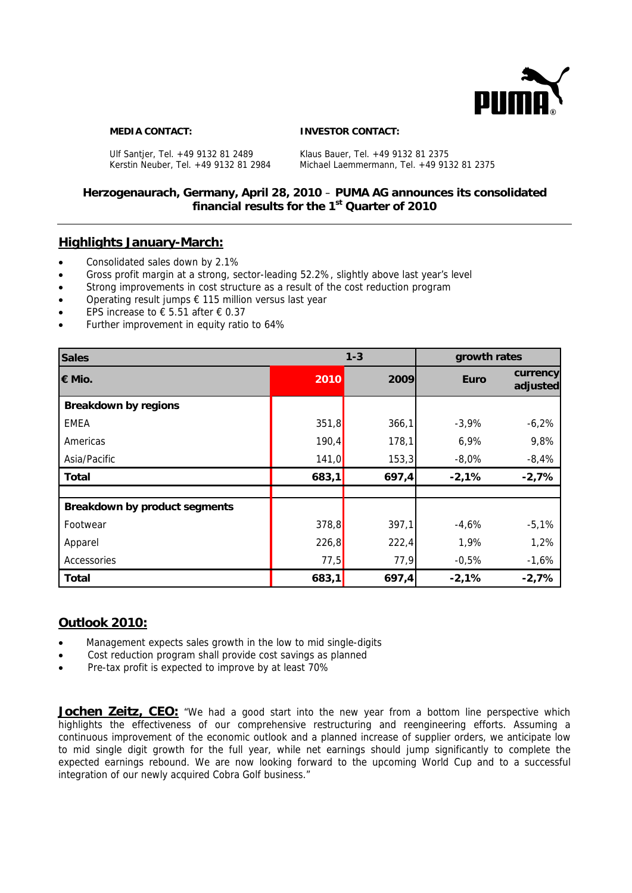

#### **MEDIA CONTACT: INVESTOR CONTACT:**

Ulf Santjer, Tel. +49 9132 81 2489 Klaus Bauer, Tel. +49 9132 81 2375

Kerstin Neuber, Tel. +49 9132 81 2984 Michael Laemmermann, Tel. +49 9132 81 2375

# **Herzogenaurach, Germany, April 28, 2010** – **PUMA AG announces its consolidated financial results for the 1st Quarter of 2010**

## **Highlights January-March:**

- Consolidated sales down by 2.1%
- Gross profit margin at a strong, sector-leading 52.2%, slightly above last year's level
- Strong improvements in cost structure as a result of the cost reduction program
- Operating result jumps € 115 million versus last year
- EPS increase to  $\epsilon$  5.51 after  $\epsilon$  0.37
- Further improvement in equity ratio to 64%

| <b>Sales</b>                  |       | $1 - 3$<br>growth rates |             |                      |
|-------------------------------|-------|-------------------------|-------------|----------------------|
| € Mio.                        | 2010  | 2009                    | <b>Euro</b> | currency<br>adjusted |
| <b>Breakdown by regions</b>   |       |                         |             |                      |
| <b>EMEA</b>                   | 351,8 | 366,1                   | $-3,9%$     | $-6,2%$              |
| Americas                      | 190,4 | 178,1                   | 6,9%        | 9,8%                 |
| Asia/Pacific                  | 141,0 | 153,3                   | $-8,0%$     | $-8,4%$              |
| <b>Total</b>                  | 683,1 | 697,4                   | $-2,1%$     | $-2,7%$              |
|                               |       |                         |             |                      |
| Breakdown by product segments |       |                         |             |                      |
| Footwear                      | 378,8 | 397,1                   | $-4,6%$     | $-5,1%$              |
| Apparel                       | 226,8 | 222,4                   | 1,9%        | 1,2%                 |
| Accessories                   | 77,5  | 77,9                    | $-0,5%$     | $-1,6%$              |
| <b>Total</b>                  | 683,1 | 697,4                   | $-2,1%$     | $-2,7%$              |

# **Outlook 2010:**

- Management expects sales growth in the low to mid single-digits
- Cost reduction program shall provide cost savings as planned
- Pre-tax profit is expected to improve by at least 70%

**Jochen Zeitz, CEO:** "We had a good start into the new year from a bottom line perspective which highlights the effectiveness of our comprehensive restructuring and reengineering efforts. Assuming a continuous improvement of the economic outlook and a planned increase of supplier orders, we anticipate low to mid single digit growth for the full year, while net earnings should jump significantly to complete the expected earnings rebound. We are now looking forward to the upcoming World Cup and to a successful integration of our newly acquired Cobra Golf business."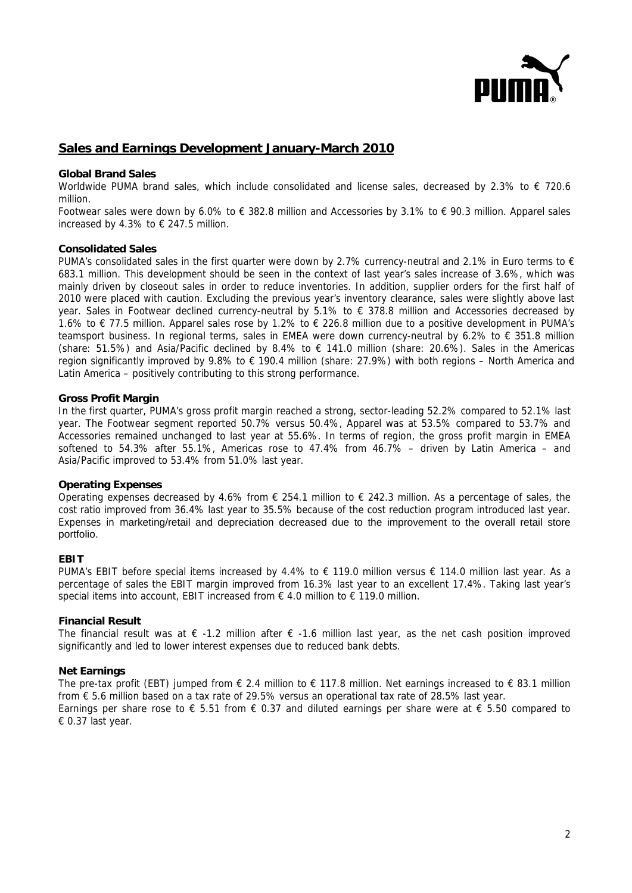

# **Sales and Earnings Development January-March 2010**

#### **Global Brand Sales**

Worldwide PUMA brand sales, which include consolidated and license sales, decreased by 2.3% to  $\epsilon$  720.6 million.

Footwear sales were down by 6.0% to € 382.8 million and Accessories by 3.1% to € 90.3 million. Apparel sales increased by 4.3% to  $\epsilon$  247.5 million.

## **Consolidated Sales**

PUMA's consolidated sales in the first quarter were down by 2.7% currency-neutral and 2.1% in Euro terms to  $\epsilon$ 683.1 million. This development should be seen in the context of last year's sales increase of 3.6%, which was mainly driven by closeout sales in order to reduce inventories. In addition, supplier orders for the first half of 2010 were placed with caution. Excluding the previous year's inventory clearance, sales were slightly above last year. Sales in Footwear declined currency-neutral by 5.1% to € 378.8 million and Accessories decreased by 1.6% to € 77.5 million. Apparel sales rose by 1.2% to € 226.8 million due to a positive development in PUMA's teamsport business. In regional terms, sales in EMEA were down currency-neutral by 6.2% to € 351.8 million (share: 51.5%) and Asia/Pacific declined by 8.4% to  $\epsilon$  141.0 million (share: 20.6%). Sales in the Americas region significantly improved by 9.8% to  $\epsilon$  190.4 million (share: 27.9%) with both regions – North America and Latin America – positively contributing to this strong performance.

#### **Gross Profit Margin**

In the first quarter, PUMA's gross profit margin reached a strong, sector-leading 52.2% compared to 52.1% last year. The Footwear segment reported 50.7% versus 50.4%, Apparel was at 53.5% compared to 53.7% and Accessories remained unchanged to last year at 55.6%. In terms of region, the gross profit margin in EMEA softened to 54.3% after 55.1%, Americas rose to 47.4% from 46.7% – driven by Latin America – and Asia/Pacific improved to 53.4% from 51.0% last year.

#### **Operating Expenses**

Operating expenses decreased by 4.6% from  $\epsilon$  254.1 million to  $\epsilon$  242.3 million. As a percentage of sales, the cost ratio improved from 36.4% last year to 35.5% because of the cost reduction program introduced last year. Expenses in marketing/retail and depreciation decreased due to the improvement to the overall retail store portfolio.

## **EBIT**

PUMA's EBIT before special items increased by 4.4% to € 119.0 million versus € 114.0 million last year. As a percentage of sales the EBIT margin improved from 16.3% last year to an excellent 17.4%. Taking last year's special items into account, EBIT increased from € 4.0 million to € 119.0 million.

## **Financial Result**

The financial result was at  $\epsilon$  -1.2 million after  $\epsilon$  -1.6 million last year, as the net cash position improved significantly and led to lower interest expenses due to reduced bank debts.

#### **Net Earnings**

The pre-tax profit (EBT) jumped from  $\epsilon$  2.4 million to  $\epsilon$  117.8 million. Net earnings increased to  $\epsilon$  83.1 million from € 5.6 million based on a tax rate of 29.5% versus an operational tax rate of 28.5% last year. Earnings per share rose to  $\epsilon$  5.51 from  $\epsilon$  0.37 and diluted earnings per share were at  $\epsilon$  5.50 compared to € 0.37 last year.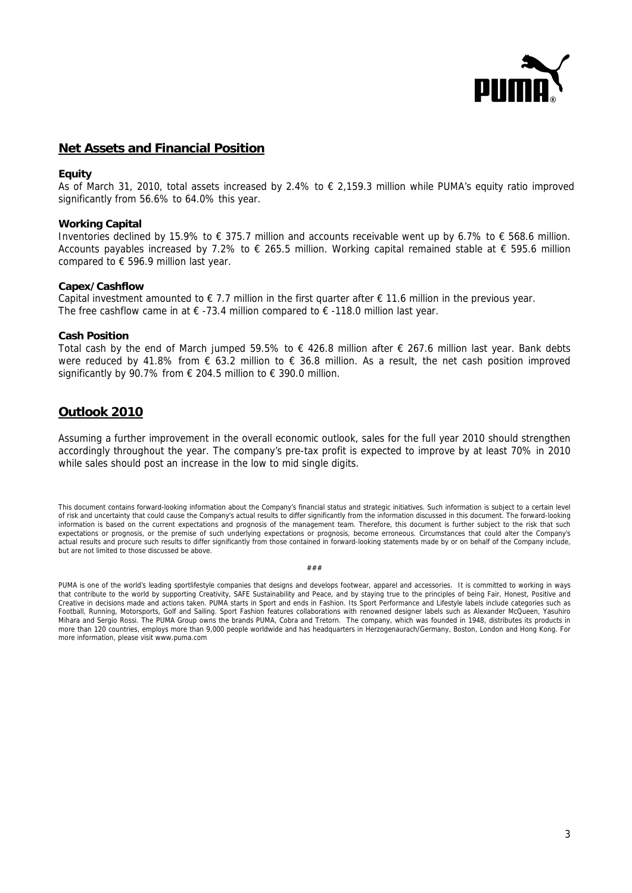

## **Net Assets and Financial Position**

## **Equity**

As of March 31, 2010, total assets increased by 2.4% to  $\epsilon$  2,159.3 million while PUMA's equity ratio improved significantly from 56.6% to 64.0% this year.

#### **Working Capital**

Inventories declined by 15.9% to € 375.7 million and accounts receivable went up by 6.7% to € 568.6 million. Accounts payables increased by 7.2% to  $\epsilon$  265.5 million. Working capital remained stable at  $\epsilon$  595.6 million compared to € 596.9 million last year.

## **Capex/Cashflow**

Capital investment amounted to  $\epsilon$  7.7 million in the first quarter after  $\epsilon$  11.6 million in the previous year. The free cashflow came in at  $\epsilon$  -73.4 million compared to  $\epsilon$  -118.0 million last year.

#### **Cash Position**

Total cash by the end of March jumped 59.5% to € 426.8 million after € 267.6 million last year. Bank debts were reduced by 41.8% from € 63.2 million to € 36.8 million. As a result, the net cash position improved significantly by 90.7% from  $\epsilon$  204.5 million to  $\epsilon$  390.0 million.

## **Outlook 2010**

Assuming a further improvement in the overall economic outlook, sales for the full year 2010 should strengthen accordingly throughout the year. The company's pre-tax profit is expected to improve by at least 70% in 2010 while sales should post an increase in the low to mid single digits.

This document contains forward-looking information about the Company's financial status and strategic initiatives. Such information is subject to a certain level of risk and uncertainty that could cause the Company's actual results to differ significantly from the information discussed in this document. The forward-looking information is based on the current expectations and prognosis of the management team. Therefore, this document is further subject to the risk that such expectations or prognosis, or the premise of such underlying expectations or prognosis, become erroneous. Circumstances that could alter the Company's actual results and procure such results to differ significantly from those contained in forward-looking statements made by or on behalf of the Company include, but are not limited to those discussed be above.

###

PUMA is one of the world's leading sportlifestyle companies that designs and develops footwear, apparel and accessories. It is committed to working in ways that contribute to the world by supporting Creativity, SAFE Sustainability and Peace, and by staying true to the principles of being Fair, Honest, Positive and Creative in decisions made and actions taken. PUMA starts in Sport and ends in Fashion. Its Sport Performance and Lifestyle labels include categories such as Football, Running, Motorsports, Golf and Sailing. Sport Fashion features collaborations with renowned designer labels such as Alexander McQueen, Yasuhiro Mihara and Sergio Rossi. The PUMA Group owns the brands PUMA, Cobra and Tretorn. The company, which was founded in 1948, distributes its products in more than 120 countries, employs more than 9,000 people worldwide and has headquarters in Herzogenaurach/Germany, Boston, London and Hong Kong. For more information, please visit www.puma.com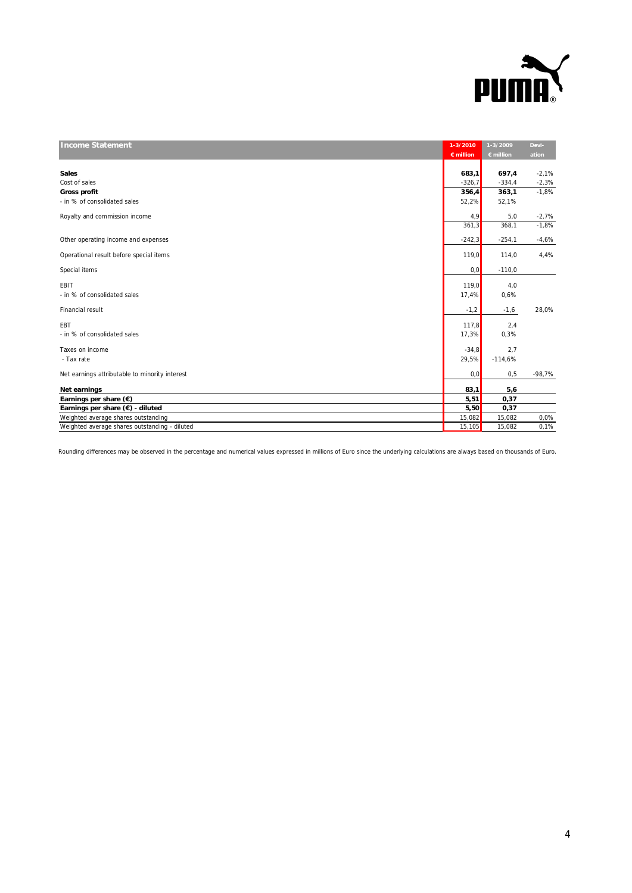

| <b>Income Statement</b>                        | 1-3/2010  | 1-3/2009  | Devi-    |
|------------------------------------------------|-----------|-----------|----------|
|                                                | € million | € million | ation    |
|                                                |           |           |          |
| <b>Sales</b>                                   | 683,1     | 697,4     | $-2,1%$  |
| Cost of sales                                  | $-326,7$  | $-334,4$  | $-2,3%$  |
| <b>Gross profit</b>                            | 356,4     | 363,1     | $-1,8%$  |
| - in % of consolidated sales                   | 52,2%     | 52,1%     |          |
| Royalty and commission income                  | 4,9       | 5,0       | $-2,7%$  |
|                                                | 361,3     | 368,1     | $-1,8%$  |
| Other operating income and expenses            | $-242,3$  | $-254,1$  | $-4,6%$  |
| Operational result before special items        | 119,0     | 114,0     | 4,4%     |
| Special items                                  | 0,0       | $-110,0$  |          |
| EBIT                                           | 119,0     | 4,0       |          |
| - in % of consolidated sales                   | 17,4%     | 0,6%      |          |
| Financial result                               | $-1,2$    | $-1,6$    | 28,0%    |
| EBT                                            | 117,8     | 2,4       |          |
| - in % of consolidated sales                   | 17,3%     | 0,3%      |          |
| Taxes on income                                | $-34.8$   | 2.7       |          |
| - Tax rate                                     | 29,5%     | $-114,6%$ |          |
| Net earnings attributable to minority interest | 0,0       | 0,5       | $-98,7%$ |
| Net earnings                                   | 83,1      | 5,6       |          |
| Earnings per share $(\epsilon)$                | 5,51      | 0,37      |          |
| Earnings per share (€) - diluted               | 5,50      | 0,37      |          |
| Weighted average shares outstanding            | 15,082    | 15,082    | 0,0%     |
| Weighted average shares outstanding - diluted  | 15,105    | 15,082    | 0,1%     |

Rounding differences may be observed in the percentage and numerical values expressed in millions of Euro since the underlying calculations are always based on thousands of Euro.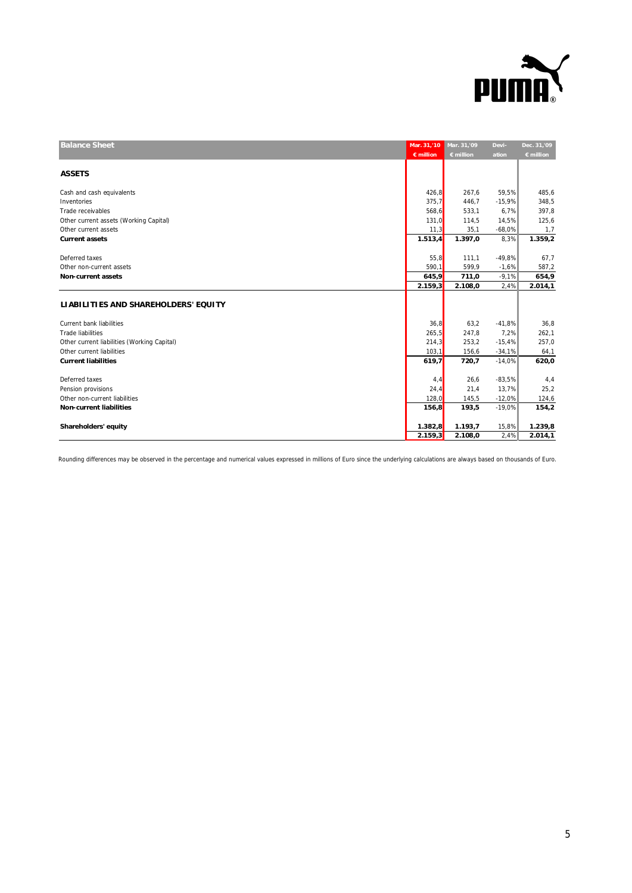

| <b>Balance Sheet</b>                        | Mar. 31,'10<br>$\epsilon$ million | Mar. 31,'09<br>€ million | Devi-<br>ation | Dec. 31,'09<br>$\epsilon$ million |
|---------------------------------------------|-----------------------------------|--------------------------|----------------|-----------------------------------|
|                                             |                                   |                          |                |                                   |
| <b>ASSETS</b>                               |                                   |                          |                |                                   |
| Cash and cash equivalents                   | 426,8                             | 267,6                    | 59,5%          | 485,6                             |
| Inventories                                 | 375,7                             | 446,7                    | $-15,9%$       | 348,5                             |
| Trade receivables                           | 568,6                             | 533,1                    | 6,7%           | 397,8                             |
| Other current assets (Working Capital)      | 131,0                             | 114,5                    | 14,5%          | 125,6                             |
| Other current assets                        | 11,3                              | 35,1                     | $-68,0%$       | 1,7                               |
| <b>Current assets</b>                       | 1.513,4                           | 1.397,0                  | 8,3%           | 1.359,2                           |
|                                             |                                   |                          |                |                                   |
| Deferred taxes                              | 55,8                              | 111,1                    | $-49,8%$       | 67,7                              |
| Other non-current assets                    | 590,1                             | 599,9                    | $-1.6%$        | 587,2                             |
| <b>Non-current assets</b>                   | 645,9                             | 711,0                    | $-9,1%$        | 654,9                             |
|                                             | 2.159,3                           | 2.108,0                  | 2,4%           | 2.014,1                           |
| LIABILITIES AND SHAREHOLDERS' EQUITY        |                                   |                          |                |                                   |
|                                             |                                   |                          |                |                                   |
| <b>Current bank liabilities</b>             | 36,8                              | 63,2                     | $-41,8%$       | 36,8                              |
| <b>Trade liabilities</b>                    | 265, 5                            | 247,8                    | 7,2%           | 262,1                             |
| Other current liabilities (Working Capital) | 214,3                             | 253,2                    | $-15,4%$       | 257,0                             |
| Other current liabilities                   | 103,1                             | 156,6                    | $-34,1%$       | 64,1                              |
| <b>Current liabilities</b>                  | 619,7                             | 720,7                    | $-14,0%$       | 620,0                             |
|                                             |                                   |                          |                |                                   |
| Deferred taxes                              | 4, 4                              | 26,6                     | $-83,5%$       | 4,4                               |
| Pension provisions                          | 24,4                              | 21,4                     | 13,7%          | 25,2                              |
| Other non-current liabilities               | 128,0                             | 145,5                    | $-12,0%$       | 124,6                             |
| <b>Non-current liabilities</b>              | 156,8                             | 193,5                    | $-19,0%$       | 154,2                             |
| Shareholders' equity                        | 1.382,8                           | 1.193,7                  | 15,8%          | 1.239,8                           |
|                                             | 2.159,3                           | 2.108,0                  | 2,4%           | 2.014,1                           |
|                                             |                                   |                          |                |                                   |

Rounding differences may be observed in the percentage and numerical values expressed in millions of Euro since the underlying calculations are always based on thousands of Euro.